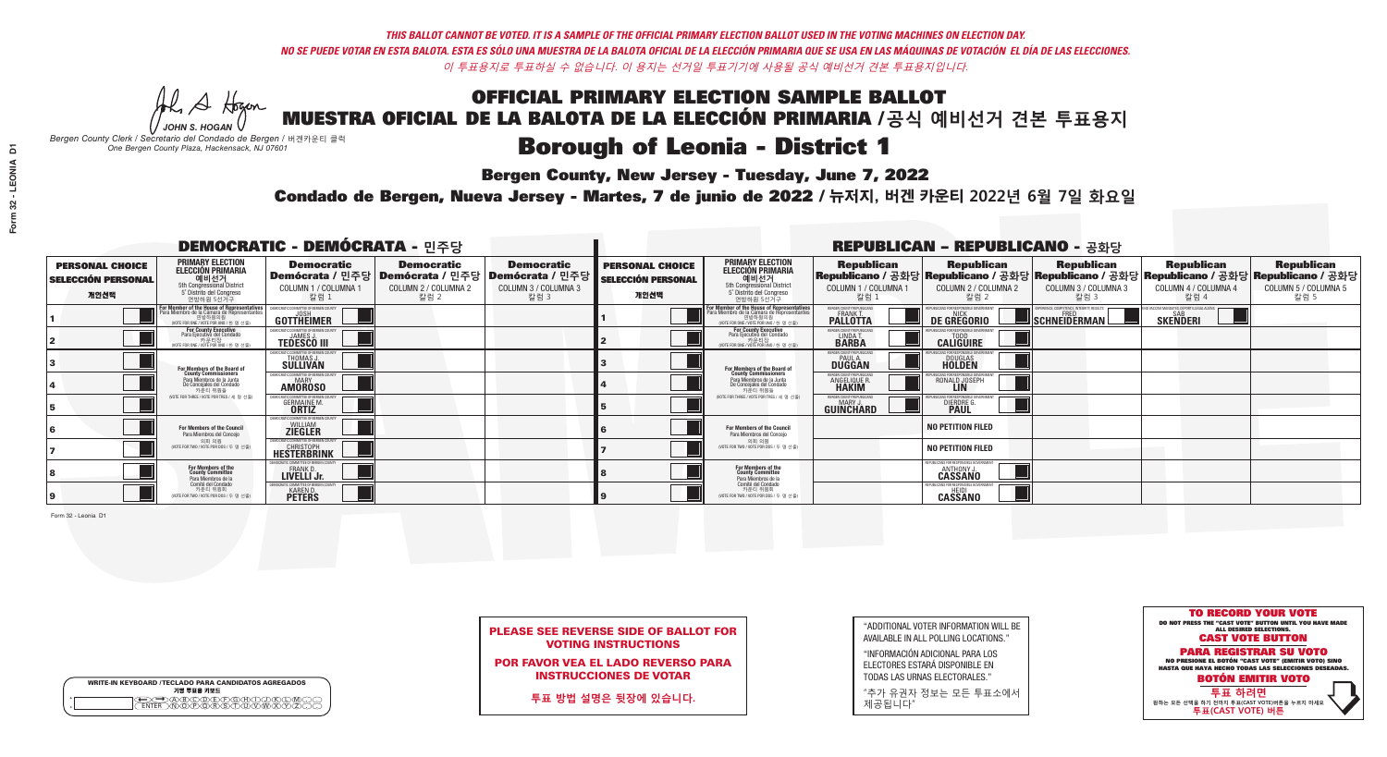**Bergen County, New Jersey - Tuesday, June 7, 2022** 

A Hogan *JOHN S. HOGAN*

|         | <b>WRITE-IN KEYBOARD /TECLADO PARA CANDIDATOS AGREGADOS</b><br>기명 투표용 키보드 |
|---------|---------------------------------------------------------------------------|
| o       | )B)C)D)E)(F)(G)(A)(                                                       |
| $\circ$ | <b>ፙ፝፟፝፝፝፟ፙ፝፟ዀ፝</b> ጞጞጞ                                                   |

*Bergen County Clerk / Secretario del Condado de Bergen /* 버겐카운티 클럭 *One Bergen County Plaza, Hackensack, NJ 07601*

Condado de Bergen, Nueva Jersey - Martes, 7 de junio de 2022 / 뉴저지, 버겐 카운티 2022년 6월 7일 화요일 *One Bergen County Plaza, Hackensack, NJ 07601*



PLEASE SEE REVERSE SIDE OF BALLOT FOR VOTING INSTRUCTIONS

POR FAVOR VEA EL LADO REVERSO PARA INSTRUCCIONES DE VOTAR

**투표 방법 설명은 뒷장에 있습니다.**

"ADDITIONAL VOTER INFORMATION WILL BE AVAILABLE IN ALL POLLING LOCATIONS."

"INFORMACIÓN ADICIONAL PARA LOS ELECTORES ESTARÁ DISPONIBLE EN TODAS LAS URNAS ELECTORALES."

"추가 유권자 정보는 모든 투표소에서 제공됩니다"

| <b>DEMOCRATIC - DEMÓCRATA - 민주당</b>                         |                                                                                                                                                      |                                                                        |                                                   |                                                                                                              |                                                             |                                                                                                                                             |                                                   | <b>REPUBLICAN - REPUBLICANO - 공화당</b>                                    |                                                   |                                                                                                                                                |                                                   |
|-------------------------------------------------------------|------------------------------------------------------------------------------------------------------------------------------------------------------|------------------------------------------------------------------------|---------------------------------------------------|--------------------------------------------------------------------------------------------------------------|-------------------------------------------------------------|---------------------------------------------------------------------------------------------------------------------------------------------|---------------------------------------------------|--------------------------------------------------------------------------|---------------------------------------------------|------------------------------------------------------------------------------------------------------------------------------------------------|---------------------------------------------------|
| <b>PERSONAL CHOICE</b><br><b>SELECCIÓN PERSONAL</b><br>개인선택 | <b>PRIMARY ELECTION</b><br><b>ELECCIÓN PRIMARIA</b><br>예비선거<br>5th Congressional District<br>5° Distrito del Congreso<br>연방하원 5선거구                   | <b>Democratic</b><br>COLUMN 1 / COLUMNA 1<br>칼럼 :                      | <b>Democratic</b><br>COLUMN 2 / COLUMNA 2<br>칼럼 2 | <b>Democratic</b><br>  Demócrata / 민주당   Demócrata / 민주당   Demócrata / 민주당  <br>COLUMN 3 / COLUMNA 3<br>칼럼 3 | <b>PERSONAL CHOICE</b><br><b>SELECCIÓN PERSONAL</b><br>개인선택 | <b>PRIMARY ELECTION</b><br><b>ELECCIÓN PRIMARIA</b><br><u>. 예비선거</u><br>5th Congressional District<br>5° Distrito del Congreso<br>연방하원 5선거구 | <b>Republican</b><br>COLUMN 1 / COLUMNA 1<br>칼럼   | <b>Republican</b><br>COLUMN 2 / COLUMNA 2<br>칼럼 2                        | <b>Republican</b><br>COLUMN 3 / COLUMNA 3<br>칼럼 3 | <b>Republican</b><br>Republicano / 공화당 Republicano / 공화당 Republicano / 공화당 Republicano / 공화당 Republicano / 공화당<br>COLUMN 4 / COLUMNA 4<br>칼럼 4 | <b>Republican</b><br>COLUMN 5 / COLUMNA 5<br>칼럼 5 |
|                                                             | <b>For Member of the House of Representatives</b><br>Para Miembro de la Cámara de Representantes<br>연방하원의원<br>(VOTE FOR ONE / VOTE POR UNO / 한 명 선출) | <b>GOTTHEIMER</b>                                                      |                                                   |                                                                                                              |                                                             | For Member of the House of Representatives<br>Para Miembro de la Cámara de Representantes<br>연방하원의원<br>WOTE FOR ONE / VOTE POR UNO / 한 명 선출 | ERGEN COUNTY REPUBLICAN<br><b>PALLOTTA</b>        | DE GREGORIO                                                              | SCHNEIDERMAN                                      | O VACCINE MANDATES, DEPORT ILLEGAL ALIENS.<br><b>SKENDERI</b>                                                                                  |                                                   |
|                                                             | For County Executive<br>Para Ejecutivo del Condado<br>. 카운티장<br>(VOTE FOR ONE / VOTE POR UNO / 한 명 선출)                                               | DEMOCRATIC COMMITTEE OF BERGEN COUNTY<br><b>TEDESCO III</b>            |                                                   |                                                                                                              |                                                             | For County Executive<br>Para Ejecutivo del Condado<br>카운티장<br>(VOTE FOR ONE / VOTE POR UNO / 한 명 선출)                                        | BERGEN COUNTY REPUBLICAN<br>LINDA T.              | <b>CALIGUIRE</b>                                                         |                                                   |                                                                                                                                                |                                                   |
|                                                             | For Members of the Board of<br>County Commissioners                                                                                                  | MOCRATIC COMMITTEE OF BERGEN COUNTY<br>THOMAS J.                       |                                                   |                                                                                                              |                                                             | For Members of the Board of<br>County Commissioners                                                                                         | ERGEN COUNTY REPUBLICAN<br><b>DUGGAN</b>          | <b>DOUGLAS</b><br><b>HOLDEN</b>                                          |                                                   |                                                                                                                                                |                                                   |
|                                                             | Para Miembros de la Junta<br>De Concejales del Condado<br>카운티 위원들                                                                                    | MOCRATIC COMMITTEE OF BERGEN COUNTY<br><b>MARY</b><br><b>AMOROSO</b>   |                                                   |                                                                                                              |                                                             | Para Miembros de la Junta<br>De Concejales del Condado<br>카우티 위원들                                                                           | <b>RGEN COUNTY REPUBLICAN</b><br>ANGELIQUE R      | RONALD JOSEPH<br><b>LIN</b>                                              |                                                   |                                                                                                                                                |                                                   |
|                                                             | NOTE FOR THREE / VOTE POR TRES / 세 명 선출                                                                                                              | ATIC COMMITTEE OF BERGEN COUNT<br><b>GERMAINE M.</b>                   |                                                   |                                                                                                              |                                                             | (VOTE FOR THREE / VOTE POR TRES / 세 명 선출)                                                                                                   | BERGEN COUNTY REPUBLICANS<br>MARY J.<br>GUINCHARD | FOR RESPONSIBLE G<br>DIERDRE G                                           |                                                   |                                                                                                                                                |                                                   |
|                                                             | For Members of the Council<br>Para Miembros del Conceio                                                                                              | MOCRATIC COMMITTEE OF BERGEN COUNT:<br><b>ZIEGLER</b>                  |                                                   |                                                                                                              |                                                             | <b>For Members of the Council</b><br>Para Miembros del Conceio                                                                              |                                                   | <b>NO PETITION FILED</b>                                                 |                                                   |                                                                                                                                                |                                                   |
|                                                             | 의회 의원<br>(VOTE FOR TWO / VOTE POR DOS / 두 명 선출)                                                                                                      | MOCRATIC COMMITTEE OF BERGEN COUNT:<br>CHRISTOPH<br><b>HESTERBRINK</b> |                                                   |                                                                                                              |                                                             | 의회 의원<br>(VOTE FOR TWO / VOTE POR DOS / 두 명 선출)                                                                                             |                                                   | <b>NO PETITION FILED</b>                                                 |                                                   |                                                                                                                                                |                                                   |
|                                                             | For Members of the<br>County Committee<br>Para Miembros de la                                                                                        | FRANK D.<br>LIVELLI Jr.                                                |                                                   |                                                                                                              |                                                             | For Members of the<br>County Committee<br>Para Miembros de la<br>Comité del Condado                                                         |                                                   | FPUBLICANS FOR RESPONSIBLE GOVERNMEN<br><b>ANTHONY</b><br><b>CASSANO</b> |                                                   |                                                                                                                                                |                                                   |
|                                                             | Comité del Condado<br>카운티 위원회<br>NOTE FOR TWO / VOTE POR DOS / 두 명 선출)                                                                               | MOCRATIC COMMITTEE OF BERGEN COUNT<br><b>KAREN D.</b><br><b>PETERS</b> |                                                   |                                                                                                              |                                                             | 카운티 위원회<br>NOTE FOR TWO / VOTE POR DOS / 두 명 선출)                                                                                            |                                                   | REPUBLICANS FOR RESPONSIBLE GOVERNMEN<br><b>CASSANO</b>                  |                                                   |                                                                                                                                                |                                                   |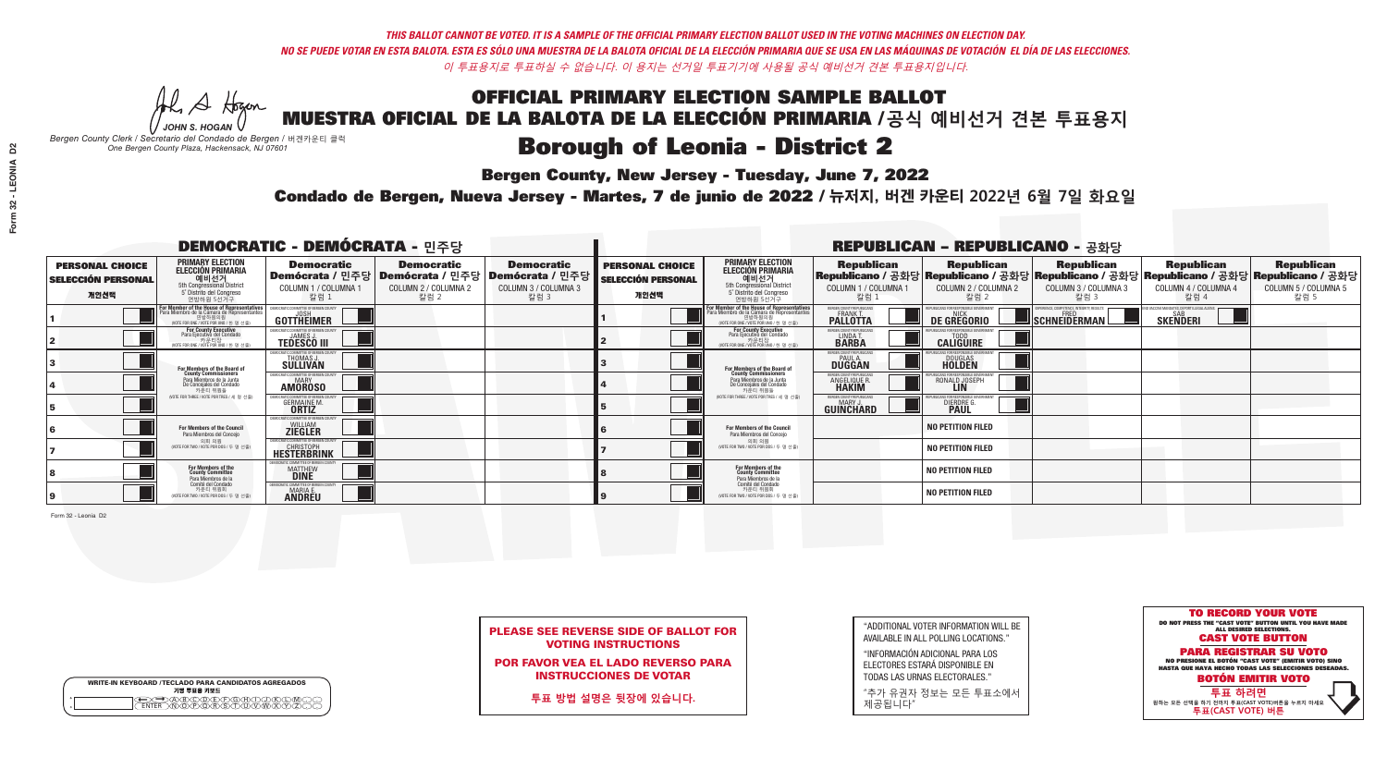**Bergen County, New Jersey - Tuesday, June 7, 2022** 

A Hogan *JOHN S. HOGAN*

|         | <b>WRITE-IN KEYBOARD /TECLADO PARA CANDIDATOS AGREGADOS</b><br>기명 투표용 키보드 |
|---------|---------------------------------------------------------------------------|
| $\circ$ | )(B)(C)(D)(E)(F)(G)(H)(                                                   |
| $\circ$ | ፞ <u>፟</u> ፟፝፟፟፟፟፞፟፟፟ፙ፝ዀ፝፟ዀ፝                                              |

*Bergen County Clerk / Secretario del Condado de Bergen /* 버겐카운티 클럭 *One Bergen County Plaza, Hackensack, NJ 07601*



PLEASE SEE REVERSE SIDE OF BALLOT FOR VOTING INSTRUCTIONS

POR FAVOR VEA EL LADO REVERSO PARA INSTRUCCIONES DE VOTAR

**투표 방법 설명은 뒷장에 있습니다.**

| "ADDITIONAL VOTER INFORMATION WILL BE |
|---------------------------------------|
| AVAILABLE IN ALL POLLING LOCATIONS."  |

"INFORMACIÓN ADICIONAL PARA LOS ELECTORES ESTARÁ DISPONIBLE EN TODAS LAS URNAS ELECTORALES."

"추가 유권자 정보는 모든 투표소에서 제공됩니다"

Condado de Bergen, Nueva Jersey - Martes, 7 de junio de 2022 / 뉴저지, 버겐 카운티 2022년 6월 7일 화요일 *One Bergen County Plaza, Hackensack, NJ 07601*

| <b>DEMOCRATIC - DEMÓCRATA - 민주당</b>                         |                                                                                                                                    |                                                                           |                                                   |                                                                                                        |                                                             |                                                                                                                                    |                                                               | <b>REPUBLICAN - REPUBLICANO - 공화당</b>             |                                                                                                                                                |                                                           |                                                   |
|-------------------------------------------------------------|------------------------------------------------------------------------------------------------------------------------------------|---------------------------------------------------------------------------|---------------------------------------------------|--------------------------------------------------------------------------------------------------------|-------------------------------------------------------------|------------------------------------------------------------------------------------------------------------------------------------|---------------------------------------------------------------|---------------------------------------------------|------------------------------------------------------------------------------------------------------------------------------------------------|-----------------------------------------------------------|---------------------------------------------------|
| <b>PERSONAL CHOICE</b><br><b>SELECCIÓN PERSONAL</b><br>개인선택 | <b>PRIMARY ELECTION</b><br><b>ELECCIÓN PRIMARIA</b><br>예비선거<br>5th Congressional District<br>5° Distrito del Congreso<br>연방하원 5선거구 | <b>Democratic</b><br>COLUMN 1 / COLUMNA 1<br>칼럼 1                         | <b>Democratic</b><br>COLUMN 2 / COLUMNA 2<br>칼럼 2 | <b>Democratic</b><br>│Demócrata / 민주당│Demócrata / 민주당│Demócrata / 민주당│<br>COLUMN 3 / COLUMNA 3<br>칼럼 3 | <b>PERSONAL CHOICE</b><br><b>SELECCIÓN PERSONAL</b><br>개인선택 | <b>PRIMARY ELECTION</b><br><b>ELECCIÓN PRIMARIA</b><br>예비선거<br>5th Congressional District<br>5° Distrito del Congreso<br>연방하원 5선거구 | <b>Republican</b><br>COLUMN 1 / COLUMNA 1<br>칼럼 :             | <b>Republican</b><br>COLUMN 2 / COLUMNA 2<br>칼럼 2 | <b>Republican</b><br>Republicano / 공화당 Republicano / 공화당 Republicano / 공화당 Republicano / 공화당 Republicano / 공화당<br>COLUMN 3 / COLUMNA 3<br>칼럼 3 | <b>Republican</b><br>COLUMN 4 / COLUMNA 4<br>칼럼 4         | <b>Republican</b><br>COLUMN 5 / COLUMNA 5<br>칼럼 5 |
|                                                             | F <b>or Member of the House of Representatives</b><br>Para Miembro de la Cámara de Representantes                                  | <b>GOTTHEIMER</b>                                                         |                                                   |                                                                                                        |                                                             | For Member of the House of Representatives<br>Para Miembro de la Cámara de Representantes                                          | ERGEN COUNTY REPUBLICAN<br><b>PALLOTTA</b>                    | DE GREGORIO                                       | SCHNEIDERMAN                                                                                                                                   | VACCINE MANDATES, DEPORT ILLEGAL ALIEN<br><b>SKENDERI</b> |                                                   |
|                                                             | <b>For County Executive</b><br>Para Ejecutivo del Condado<br>가운티장<br>(VOTE FOR ONE / VOTE POR UNO / 한 명 선출)                        | <b>TEDESCO III</b>                                                        |                                                   |                                                                                                        |                                                             | For County Executive<br>Para Ejecutivo del Condado<br>. 카운티장<br>(VOTE FOR ONE / VOTE POR UNO / 한 명 선출                              | BERGEN COUNTY REPUBLICAN<br>LINDA T.                          | <b>CALIGUIRE</b>                                  |                                                                                                                                                |                                                           |                                                   |
|                                                             | <b>For Members of the Board of<br/>County Commissioners</b>                                                                        | MOCRATIC COMMITTEE OF BEBGEN COUNT<br>THOMAS J.                           |                                                   |                                                                                                        |                                                             | For Members of the Board of<br>County Commissioners                                                                                | ERGEN COUNTY REPUBLICAN<br><b>PAUL A.</b><br><b>DUGGAN</b>    | <b>DOUGLAS</b><br><b>HOLDEN</b>                   |                                                                                                                                                |                                                           |                                                   |
|                                                             | Para Miembros de la Junta<br>De Concejales del Condado<br>카우티 위원들                                                                  | MOCRATIC COMMITTEE OF BERGEN COUNTY<br><b>MARY</b><br><b>AMOROSO</b>      |                                                   |                                                                                                        |                                                             | Para Miembros de la Junta<br>De Concejales del Condado<br>카운티 위원들                                                                  | <b>RGEN COUNTY REPUBLICAN</b><br><b>ANGELIQUE R<br/>HAKIM</b> | RONALD JOSEPH                                     |                                                                                                                                                |                                                           |                                                   |
|                                                             | (VOTE FOR THREE / VOTE POR TRES / 세 명 선출)                                                                                          | <b>GERMAINE M.</b><br><b>ORTIZ</b>                                        |                                                   |                                                                                                        |                                                             | (VOTE FOR THREE / VOTE POR TRES / 세 명 선출                                                                                           | ERGEN COUNTY REPUBLICANS<br>MARY .I<br>GUINCHARD              | DIERDRE G                                         |                                                                                                                                                |                                                           |                                                   |
|                                                             | For Members of the Council<br>Para Miembros del Conceio                                                                            | EMOCRATIC COMMITTEE OF BERGEN COUNTY<br><b>ZIEGLER</b>                    |                                                   |                                                                                                        |                                                             | <b>For Members of the Council</b><br>Para Miembros del Conceio                                                                     |                                                               | <b>NO PETITION FILED</b>                          |                                                                                                                                                |                                                           |                                                   |
|                                                             | 의회 의원<br>(VOTE FOR TWO / VOTE POR DOS / 두 명 선출                                                                                     | EMOCRATIC COMMITTEE OF BERGEN COUNTY<br><b>HESTERBRINK</b>                |                                                   |                                                                                                        |                                                             | 의회 의원<br>NOTE FOR TWO / VOTE POR DOS / 두 명 선출)                                                                                     |                                                               | <b>NO PETITION FILED</b>                          |                                                                                                                                                |                                                           |                                                   |
|                                                             | For Members of the<br>County Committee<br>Para Miembros de la                                                                      | TIC COMMITTEE OF BERGEN CO<br><b>MATTHEW</b>                              |                                                   |                                                                                                        |                                                             | For Members of the<br>County Committee<br>Para Miembros de la<br>Comité del Condado                                                |                                                               | NO PETITION FILED                                 |                                                                                                                                                |                                                           |                                                   |
|                                                             | Comité del Condado<br>카운티 위원회<br>(VOTE FOR TWO / VOTE POR DOS / 두 명 선출)                                                            | <b>ITIC COMMITTEE OF BERGEN COUNT</b><br><b>MARIA E.</b><br><b>ANDREU</b> |                                                   |                                                                                                        |                                                             | 카운티 위원회<br>(VOTE FOR TWO / VOTE POR DOS / 두 명 선출)                                                                                  |                                                               | <b>NO PETITION FILED</b>                          |                                                                                                                                                |                                                           |                                                   |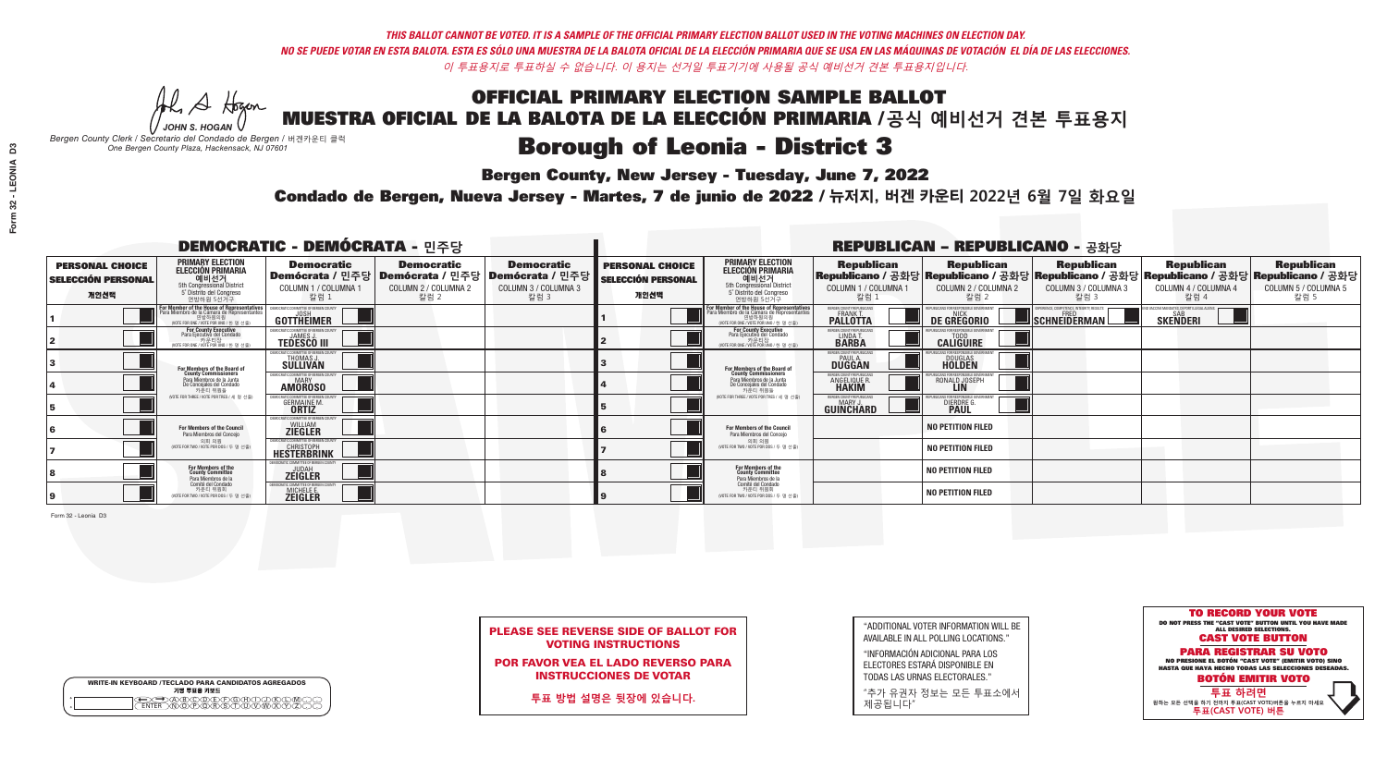**Bergen County, New Jersey - Tuesday, June 7, 2022** 

A Hogan *JOHN S. HOGAN*

|         | <b>WRITE-IN KEYBOARD /TECLADO PARA CANDIDATOS AGREGADOS</b><br>기명 투표용 키보드 |
|---------|---------------------------------------------------------------------------|
| $\circ$ | )(B)(C)(D)(E)(F)(G)(H)(                                                   |
| $\circ$ | ፞ <u>፟</u> ፟፝፟፟፟፟፞፟፟፟ፙ፝ዀ፝፟ዀ፝                                              |

*Bergen County Clerk / Secretario del Condado de Bergen /* 버겐카운티 클럭 *One Bergen County Plaza, Hackensack, NJ 07601*



PLEASE SEE REVERSE SIDE OF BALLOT FOR VOTING INSTRUCTIONS

POR FAVOR VEA EL LADO REVERSO PARA INSTRUCCIONES DE VOTAR

**투표 방법 설명은 뒷장에 있습니다.**

| "ADDITIONAL VOTER INFORMATION WILL BE |
|---------------------------------------|
| AVAILABLE IN ALL POLLING LOCATIONS."  |

"INFORMACIÓN ADICIONAL PARA LOS ELECTORES ESTARÁ DISPONIBLE EN TODAS LAS URNAS ELECTORALES."

"추가 유권자 정보는 모든 투표소에서 제공됩니다"

Condado de Bergen, Nueva Jersey - Martes, 7 de junio de 2022 / 뉴저지, 버겐 카운티 2022년 6월 7일 화요일 *One Bergen County Plaza, Hackensack, NJ 07601*

| <b>DEMOCRATIC - DEMÓCRATA - 민주당</b>                         |                                                                                                                                    |                                                                      |                                                   |                                                                                                              |                                                             |                                                                                                                                    |                                                               | <b>REPUBLICAN - REPUBLICANO - 공화당</b>             |                                                                                                                                                |                                                           |                                                   |
|-------------------------------------------------------------|------------------------------------------------------------------------------------------------------------------------------------|----------------------------------------------------------------------|---------------------------------------------------|--------------------------------------------------------------------------------------------------------------|-------------------------------------------------------------|------------------------------------------------------------------------------------------------------------------------------------|---------------------------------------------------------------|---------------------------------------------------|------------------------------------------------------------------------------------------------------------------------------------------------|-----------------------------------------------------------|---------------------------------------------------|
| <b>PERSONAL CHOICE</b><br><b>SELECCIÓN PERSONAL</b><br>개인선택 | <b>PRIMARY ELECTION</b><br><b>ELECCIÓN PRIMARIA</b><br>예비선거<br>5th Congressional District<br>5° Distrito del Congreso<br>연방하원 5선거구 | <b>Democratic</b><br>COLUMN 1 / COLUMNA 1<br>칼럼 1                    | <b>Democratic</b><br>COLUMN 2 / COLUMNA 2<br>칼럼 2 | <b>Democratic</b><br>  Demócrata / 민주당   Demócrata / 민주당   Demócrata / 민주당  <br>COLUMN 3 / COLUMNA 3<br>칼럼 3 | <b>PERSONAL CHOICE</b><br><b>SELECCIÓN PERSONAL</b><br>개인선택 | <b>PRIMARY ELECTION</b><br><b>ELECCIÓN PRIMARIA</b><br>예비선거<br>5th Congressional District<br>5° Distrito del Congreso<br>연방하원 5선거구 | <b>Republican</b><br>COLUMN 1 / COLUMNA 1<br>칼럼 :             | <b>Republican</b><br>COLUMN 2 / COLUMNA 2<br>칼럼 2 | <b>Republican</b><br>Republicano / 공화당 Republicano / 공화당 Republicano / 공화당 Republicano / 공화당 Republicano / 공화당<br>COLUMN 3 / COLUMNA 3<br>칼럼 3 | <b>Republican</b><br>COLUMN 4 / COLUMNA 4<br>칼럼 4         | <b>Republican</b><br>COLUMN 5 / COLUMNA 5<br>칼럼 5 |
|                                                             | F <b>or Member of the House of Representatives</b><br>Para Miembro de la Cámara de Representantes                                  | <b>GOTTHEIMER</b>                                                    |                                                   |                                                                                                              |                                                             | For Member of the House of Representatives<br>Para Miembro de la Cámara de Representantes                                          | ERGEN COUNTY REPUBLICAN<br><b>PALLOTTA</b>                    | DE GREGORIO                                       | SCHNEIDERMAN                                                                                                                                   | VACCINE MANDATES, DEPORT ILLEGAL ALIEN<br><b>SKENDERI</b> |                                                   |
|                                                             | <b>For County Executive</b><br>Para Ejecutivo del Condado<br>가운티장<br>(VOTE FOR ONE / VOTE POR UNO / 한 명 선출)                        | <b>TEDESCO III</b>                                                   |                                                   |                                                                                                              |                                                             | For County Executive<br>Para Ejecutivo del Condado<br>. 카운티장<br>(VOTE FOR ONE / VOTE POR UNO / 한 명 선출                              | BERGEN COUNTY REPUBLICAN<br>LINDA T.                          | <b>CALIGUIRE</b>                                  |                                                                                                                                                |                                                           |                                                   |
|                                                             | <b>For Members of the Board of<br/>County Commissioners</b>                                                                        | MOCRATIC COMMITTEE OF BEBGEN COUNT<br>THOMAS J.                      |                                                   |                                                                                                              |                                                             | For Members of the Board of<br>County Commissioners                                                                                | ERGEN COUNTY REPUBLICAN<br><b>PAUL A.</b><br><b>DUGGAN</b>    | <b>DOUGLAS</b><br><b>HOLDEN</b>                   |                                                                                                                                                |                                                           |                                                   |
|                                                             | Para Miembros de la Junta<br>De Concejales del Condado<br>카우티 위원들                                                                  | MOCRATIC COMMITTEE OF BERGEN COUNTY<br><b>MARY</b><br><b>AMOROSO</b> |                                                   |                                                                                                              |                                                             | Para Miembros de la Junta<br>De Concejales del Condado<br>카운티 위원들                                                                  | <b>RGEN COUNTY REPUBLICAN</b><br><b>ANGELIQUE R<br/>HAKIM</b> | RONALD JOSEPH                                     |                                                                                                                                                |                                                           |                                                   |
|                                                             | (VOTE FOR THREE / VOTE POR TRES / 세 명 선출)                                                                                          | <b>GERMAINE M.</b><br><b>ORTIZ</b>                                   |                                                   |                                                                                                              |                                                             | (VOTE FOR THREE / VOTE POR TRES / 세 명 선출)                                                                                          | ERGEN COUNTY REPUBLICANS<br>MARY .I<br>GUINCHARD              | DIERDRE G                                         |                                                                                                                                                |                                                           |                                                   |
|                                                             | For Members of the Council<br>Para Miembros del Conceio                                                                            | EMOCRATIC COMMITTEE OF BERGEN COUNTY<br><b>ZIEGLER</b>               |                                                   |                                                                                                              |                                                             | <b>For Members of the Council</b><br>Para Miembros del Conceio                                                                     |                                                               | <b>NO PETITION FILED</b>                          |                                                                                                                                                |                                                           |                                                   |
|                                                             | 의회 의원<br>(VOTE FOR TWO / VOTE POR DOS / 두 명 선출                                                                                     | EMOCRATIC COMMITTEE OF BERGEN COUNTY<br><b>HESTERBRINK</b>           |                                                   |                                                                                                              |                                                             | 의회 의원<br>NOTE FOR TWO / VOTE POR DOS / 두 명 선출)                                                                                     |                                                               | <b>NO PETITION FILED</b>                          |                                                                                                                                                |                                                           |                                                   |
|                                                             | For Members of the<br>County Committee<br>Para Miembros de la                                                                      | DCRATIC COMMITTEE OF BERGEN COUNT<br><b>ZEIGLER</b>                  |                                                   |                                                                                                              |                                                             | For Members of the<br>County Committee<br>Para Miembros de la<br>Comité del Condado                                                |                                                               | NO PETITION FILED                                 |                                                                                                                                                |                                                           |                                                   |
|                                                             | Comité del Condado<br>카운티 위원회<br>(VOTE FOR TWO / VOTE POR DOS / 두 명 선출)                                                            | OCRATIC COMMITTEE OF BERGEN COUNT<br>MICHELE E.                      |                                                   |                                                                                                              |                                                             | 카운티 위원회<br>(VOTE FOR TWO / VOTE POR DOS / 두 명 선출)                                                                                  |                                                               | <b>NO PETITION FILED</b>                          |                                                                                                                                                |                                                           |                                                   |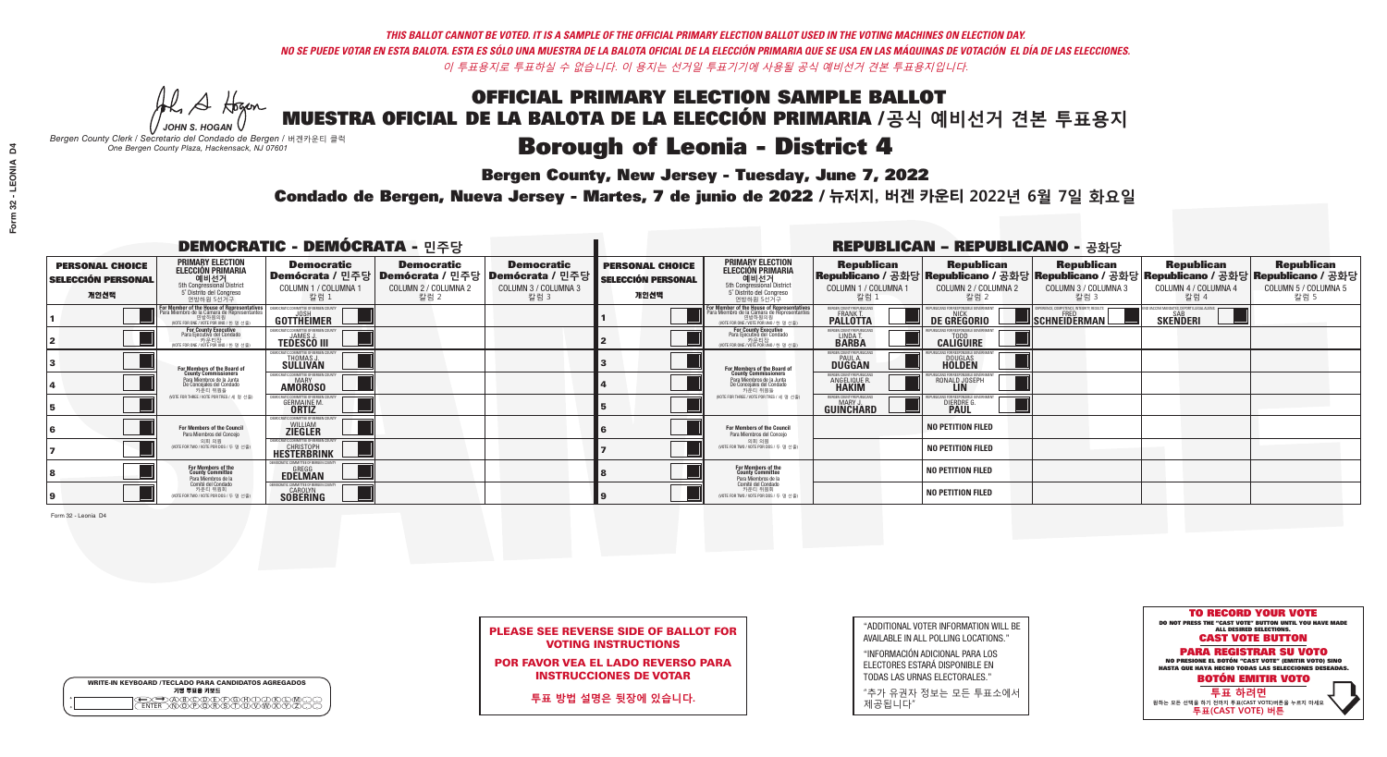**Bergen County, New Jersey - Tuesday, June 7, 2022** 

A Hogen *JOHN S. HOGAN*

|         | <b>WRITE-IN KEYBOARD /TECLADO PARA CANDIDATOS AGREGADOS</b><br>기명 투표용 키보드 |
|---------|---------------------------------------------------------------------------|
| o       | )B)C)D)E)(F)(G)(A)(                                                       |
| $\circ$ | <b>ፙ፝፟፝፝፝፟ፙ፝፟ዀ፝</b> ጞጞጞ                                                   |

*Bergen County Clerk / Secretario del Condado de Bergen /* 버겐카운티 클럭 *One Bergen County Plaza, Hackensack, NJ 07601*



PLEASE SEE REVERSE SIDE OF BALLOT FOR VOTING INSTRUCTIONS

POR FAVOR VEA EL LADO REVERSO PARA INSTRUCCIONES DE VOTAR

**투표 방법 설명은 뒷장에 있습니다.**

| "ADDITIONAL VOTER INFORMATION WILL BE |
|---------------------------------------|
| AVAILABLE IN ALL POLLING LOCATIONS."  |

"INFORMACIÓN ADICIONAL PARA LOS ELECTORES ESTARÁ DISPONIBLE EN TODAS LAS URNAS ELECTORALES."

"추가 유권자 정보는 모든 투표소에서 제공됩니다"

Condado de Bergen, Nueva Jersey - Martes, 7 de junio de 2022 / 뉴저지, 버겐 카운티 2022년 6월 7일 화요일 *One Bergen County Plaza, Hackensack, NJ 07601*

|                                                             |                                                                                                                                    | <b>DEMOCRATIC - DEMÓCRATA - 민주당</b>                                           |                                                   |                                                                                                        |                                                             |                                                                                                                                              |                                                            | <b>REPUBLICAN - REPUBLICANO - 공화당</b>              |                                                                                                                                                |                                                               |                                                   |
|-------------------------------------------------------------|------------------------------------------------------------------------------------------------------------------------------------|-------------------------------------------------------------------------------|---------------------------------------------------|--------------------------------------------------------------------------------------------------------|-------------------------------------------------------------|----------------------------------------------------------------------------------------------------------------------------------------------|------------------------------------------------------------|----------------------------------------------------|------------------------------------------------------------------------------------------------------------------------------------------------|---------------------------------------------------------------|---------------------------------------------------|
| <b>PERSONAL CHOICE</b><br><b>SELECCIÓN PERSONAL</b><br>개인선택 | <b>PRIMARY ELECTION</b><br><b>ELECCIÓN PRIMARIA</b><br>예비선거<br>5th Congressional District<br>5° Distrito del Congreso<br>연방하원 5선거구 | <b>Democratic</b><br>COLUMN 1 / COLUMNA 1<br>칼럼 1                             | <b>Democratic</b><br>COLUMN 2 / COLUMNA 2<br>칼럼 2 | <b>Democratic</b><br>│Demócrata / 민주당│Demócrata / 민주당│Demócrata / 민주당┃<br>COLUMN 3 / COLUMNA 3<br>칼럼 3 | <b>PERSONAL CHOICE</b><br><b>SELECCIÓN PERSONAL</b><br>개인선택 | <b>PRIMARY ELECTION</b><br><b>ELECCIÓN PRIMARIA</b><br>예비선거<br>5th Congressional District<br>5° Distrito del Congreso<br>연방하원 5선거구           | <b>Republican</b><br>COLUMN 1 / COLUMNA 1<br>칼럼 :          | <b>Republican</b><br>COLUMN 2 / COLUMNA 2<br>·칼럼 2 | <b>Republican</b><br>Republicano / 공화당 Republicano / 공화당 Republicano / 공화당 Republicano / 공화당 Republicano / 공화당<br>COLUMN 3 / COLUMNA 3<br>칼럼 3 | <b>Republican</b><br>COLUMN 4 / COLUMNA 4<br>칼럼 4             | <b>Republican</b><br>COLUMN 5 / COLUMNA 5<br>칼럼 5 |
|                                                             | For Member of the House of Representatives<br>Para Miembro de la Cámara de Representantes                                          | EMOCRATIC COMMITTEE OF BERGEN C<br><b>GOTTHEIMER</b>                          |                                                   |                                                                                                        |                                                             | For Member of the House of Representatives<br>Para Miembro de la Cámara de Representantes<br>연방하원의원<br>(VOTE FOR ONE / VOTE POR UNO / 한 명 선출 | ERGEN COUNTY REPUBLICAN<br><b>PALLOTTA</b>                 | DE GREGORIO                                        | SCHNEIDERMAN                                                                                                                                   | D VACCINE MANDATES, DEPORT ILLEGAL ALIENS.<br><b>SKENDERI</b> |                                                   |
|                                                             | <b>For County Executive</b><br>Para Ejecutivo del Condado<br>NOTE FOR ONE / VOTE POR UNO / 한 명 선출)                                 | JEMOCRATIC COMMITTEE OF BERGEN COUNT<br><b>TEDESCO III</b>                    |                                                   |                                                                                                        |                                                             | <b>For County Executive</b><br>Para Ejecutivo del Condado<br>가운티상<br>(VOTE FOR ONE / VOTE POR UNO / 한 명 선출                                   | BERGEN COUNTY REPUBLICAN<br>LINDAT.                        | <b>CALIGUIRE</b>                                   |                                                                                                                                                |                                                               |                                                   |
|                                                             | For Members of the Board of<br>County Commissioners                                                                                | EMOCRATIC COMMITTEE OF BERGEN COUNTY<br>THOMAS J.                             |                                                   |                                                                                                        |                                                             | For Members of the Board of<br>County Commissioners                                                                                          | ERGEN COUNTY REPUBLICAN<br><b>PAUL A.</b><br><b>DUGGAN</b> | <b>DOUGLAS</b><br><b>HOLDEN</b>                    |                                                                                                                                                |                                                               |                                                   |
|                                                             | Para Miembros de la Junta<br>De Concejales del Condado<br>카운티 위원들                                                                  | EMOCRATIC COMMITTEE OF BERGEN COUNTY<br><b>MARY</b><br><b>AMOROSO</b>         |                                                   |                                                                                                        |                                                             | Para Miembros de la Junta<br>De Concejales del Condado<br>카운티 위원들                                                                            | ERGEN COUNTY REPUBLICAN<br>ANGELIQUE R                     | RONALD JOSEPH<br><b>LIN</b>                        |                                                                                                                                                |                                                               |                                                   |
|                                                             | NOTE FOR THREE / VOTE POR TRES / 세 명 선출)                                                                                           | CRATIC COMMITTEE OF BERGEN COUNTY<br><b>GERMAINE M.</b><br><b>ORTIZ</b>       |                                                   |                                                                                                        |                                                             | NOTE FOR THREE / VOTE POR TRES / 세 명 선출!                                                                                                     | BERGEN COUNTY REPUBLICANS<br>MARY J.<br>GUINCHARD          | <b>DIERDRE L</b>                                   |                                                                                                                                                |                                                               |                                                   |
|                                                             | <b>For Members of the Council</b><br>Para Miembros del Conceio                                                                     | EMOCRATIC COMMITTEE OF BERGEN COUNT<br><b>ZIEGLER</b>                         |                                                   |                                                                                                        |                                                             | <b>For Members of the Council</b><br>Para Miembros del Conceio                                                                               |                                                            | <b>NO PETITION FILED</b>                           |                                                                                                                                                |                                                               |                                                   |
|                                                             | 의회 의원<br>(VOTE FOR TWO / VOTE POR DOS / 두 명 선출                                                                                     | EMOCRATIC COMMITTEE OF BERGEN COUNT<br><b>CHRISTOPH</b><br><b>HESTERBRINK</b> |                                                   |                                                                                                        |                                                             | 의회 의원<br>(VOTE FOR TWO / VOTE POR DOS / 두 명 선출)                                                                                              |                                                            | <b>NO PETITION FILED</b>                           |                                                                                                                                                |                                                               |                                                   |
|                                                             | For Members of the<br>County Committee<br>Para Miembros de la                                                                      | OCRATIC COMMITTEE OF BERGEN COUNTY<br><b>EDELMAN</b>                          |                                                   |                                                                                                        |                                                             | For Members of the<br>County Committee<br>Para Miembros de la<br>Comité del Condado                                                          |                                                            | NO PETITION FILED                                  |                                                                                                                                                |                                                               |                                                   |
|                                                             | Comité del Condado<br>카운티 위원회<br>(VOTE FOR TWO / VOTE POR DOS / 두 명 선출)                                                            | MOCRATIC COMMITTEE OF BERGEN COUNT<br><b>SOBERING</b>                         |                                                   |                                                                                                        |                                                             | 카운티 위원회<br>(VOTE FOR TWO / VOTE POR DOS / 두 명 선출)                                                                                            |                                                            | NO PETITION FILED                                  |                                                                                                                                                |                                                               |                                                   |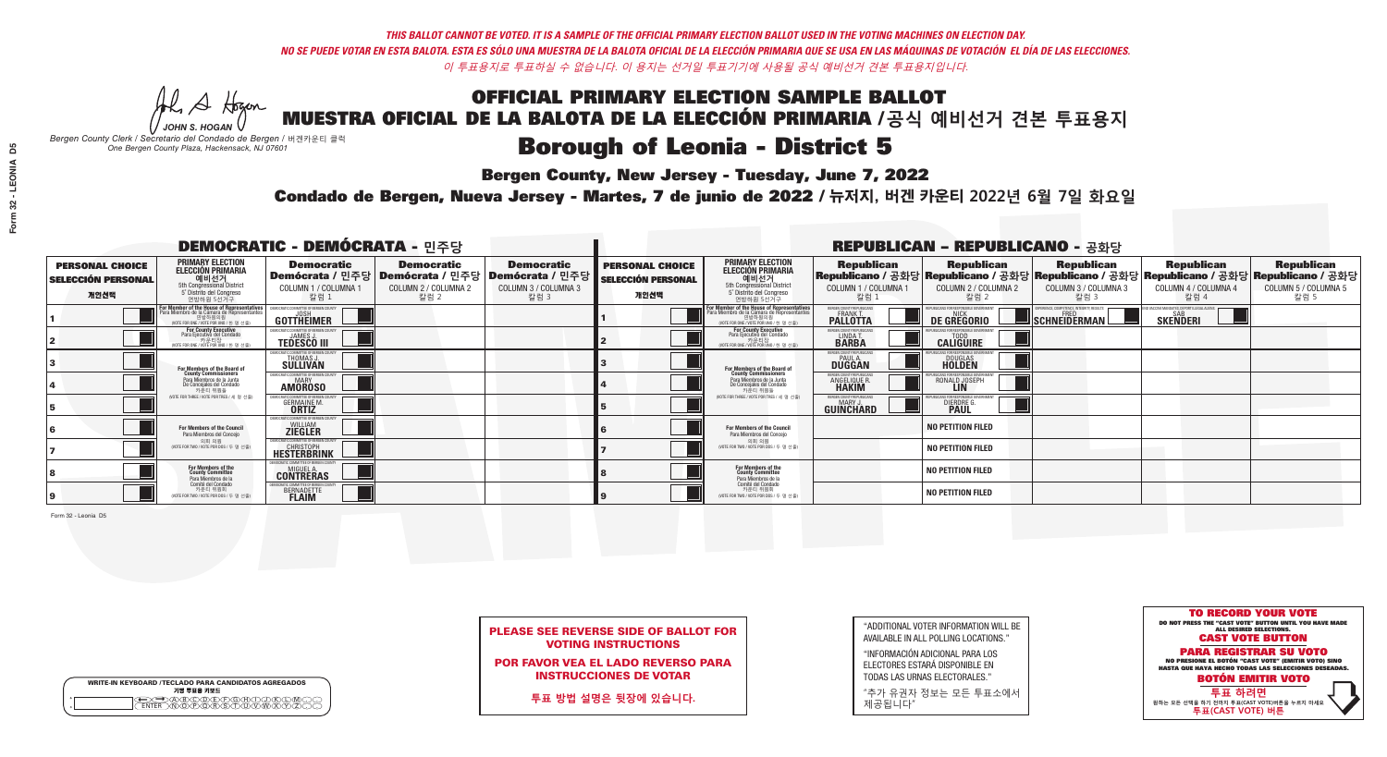**Bergen County, New Jersey - Tuesday, June 7, 2022** 

A Hogan *JOHN S. HOGAN*

|         | <b>WRITE-IN KEYBOARD /TECLADO PARA CANDIDATOS AGREGADOS</b><br>기명 투표용 키보드 |
|---------|---------------------------------------------------------------------------|
| 0       | )(B)C)(D)(E)(F)(G)(A)(                                                    |
| $\circ$ | <u>\∩ሸሸጽ</u> ኛ\ች                                                          |

*Bergen County Clerk / Secretario del Condado de Bergen /* 버겐카운티 클럭 *One Bergen County Plaza, Hackensack, NJ 07601*



PLEASE SEE REVERSE SIDE OF BALLOT FOR VOTING INSTRUCTIONS

POR FAVOR VEA EL LADO REVERSO PARA INSTRUCCIONES DE VOTAR

**투표 방법 설명은 뒷장에 있습니다.**

| "ADDITIONAL VOTER INFORMATION WILL BE |
|---------------------------------------|
| AVAILABLE IN ALL POLLING LOCATIONS."  |

"INFORMACIÓN ADICIONAL PARA LOS ELECTORES ESTARÁ DISPONIBLE EN TODAS LAS URNAS ELECTORALES."

"추가 유권자 정보는 모든 투표소에서 제공됩니다"

Condado de Bergen, Nueva Jersey - Martes, 7 de junio de 2022 / 뉴저지, 버겐 카운티 2022년 6월 7일 화요일 *One Bergen County Plaza, Hackensack, NJ 07601*

| <b>DEMOCRATIC - DEMÓCRATA - 민주당</b>                         |                                                                                                                                    |                                                                                |                                                   | <b>REPUBLICAN - REPUBLICANO - 공화당</b>                                                                        |                                                             |                                                                                                                                              |                                                               |                                                   |                                                                                                                                                |                                                               |                                                   |
|-------------------------------------------------------------|------------------------------------------------------------------------------------------------------------------------------------|--------------------------------------------------------------------------------|---------------------------------------------------|--------------------------------------------------------------------------------------------------------------|-------------------------------------------------------------|----------------------------------------------------------------------------------------------------------------------------------------------|---------------------------------------------------------------|---------------------------------------------------|------------------------------------------------------------------------------------------------------------------------------------------------|---------------------------------------------------------------|---------------------------------------------------|
| <b>PERSONAL CHOICE</b><br><b>SELECCIÓN PERSONAL</b><br>개인선택 | <b>PRIMARY ELECTION</b><br><b>ELECCIÓN PRIMARIA</b><br>예비선거<br>5th Congressional District<br>5° Distrito del Congreso<br>연방하원 5선거구 | <b>Democratic</b><br>COLUMN 1 / COLUMNA 1<br>칼럼 1                              | <b>Democratic</b><br>COLUMN 2 / COLUMNA 2<br>칼럼 2 | <b>Democratic</b><br>  Demócrata / 민주당   Demócrata / 민주당   Demócrata / 민주당  <br>COLUMN 3 / COLUMNA 3<br>칼럼 3 | <b>PERSONAL CHOICE</b><br><b>SELECCIÓN PERSONAL</b><br>개인선택 | <b>PRIMARY ELECTION</b><br><b>ELECCIÓN PRIMARIA</b><br>예비선거<br>5th Congressional District<br>5° Distrito del Congreso<br>연방하원 5선거구           | <b>Republican</b><br>COLUMN 1 / COLUMNA 1<br>칼럼 :             | <b>Republican</b><br>COLUMN 2 / COLUMNA 2<br>칼럼 2 | <b>Republican</b><br>Republicano / 공화당 Republicano / 공화당 Republicano / 공화당 Republicano / 공화당 Republicano / 공화당<br>COLUMN 3 / COLUMNA 3<br>칼럼 3 | <b>Republican</b><br>COLUMN 4 / COLUMNA 4<br>칼럼 4             | <b>Republican</b><br>COLUMN 5 / COLUMNA 5<br>칼럼 5 |
|                                                             | For Member of the House of Representatives<br>Para Miembro de la Cámara de Representantes                                          | <b>GOTTHEIMER</b>                                                              |                                                   |                                                                                                              |                                                             | For Member of the House of Representatives<br>Para Miembro de la Cámara de Representantes<br>연방하원의원<br>(VOTE FOR ONE / VOTE POR UNO / 한 명 선출 | ERGEN COUNTY REPUBLICAN:<br><b>PALLOTTA</b>                   | DE GREGORIO                                       | SCHNEIDERMAN                                                                                                                                   | ) VACCINE MANDATES, DEPORT ILLEGAL ALIENS.<br><b>SKENDERI</b> |                                                   |
|                                                             | <b>For County Executive</b><br>Para Ejecutivo del Condado<br>가운티장<br>(VOTE FOR ONE / VOTE POR UNO / 한 명 선출)                        | EMOCRATIC COMMITTEE OF BERGEN COUNT<br><b>TEDESCO III</b>                      |                                                   |                                                                                                              |                                                             | <b>For County Executive</b><br>Para Ejecutivo del Condado<br>카운티장<br>(VOTE FOR ONE / VOTE POR UNO / 한 명 선출                                   | BERGEN COUNTY REPUBLICAN:<br>LINDAT.                          | <b>CALIGUIRE</b>                                  |                                                                                                                                                |                                                               |                                                   |
|                                                             | <b>For Members of the Board of<br/>County Commissioners</b>                                                                        | MOCRATIC COMMITTEE OF BERGEN COUNTY<br>THOMAS J.                               |                                                   |                                                                                                              |                                                             | For Members of the Board of<br>County Commissioners                                                                                          | ERGEN COUNTY REPUBLICAN:<br><b>PAUL A.</b><br><b>DUGGAN</b>   | <b>DOUGLAS</b><br><b>HOLDEN</b>                   |                                                                                                                                                |                                                               |                                                   |
|                                                             | Para Miembros de la Junta<br>De Concejales del Condado<br>카운티 위원들                                                                  | EMOCRATIC COMMITTEE OF BERGEN COUNTY<br><b>AMOROSO</b>                         |                                                   |                                                                                                              |                                                             | Para Miembros de la Junta<br>De Concejales del Condado<br>카운티 위원들                                                                            | ERGEN COUNTY REPUBLICAN<br><b>ANGELIQUE R</b><br><b>HAKIM</b> | RONALD JOSEPH<br><b>LIN</b>                       |                                                                                                                                                |                                                               |                                                   |
|                                                             | (VOTE FOR THREE / VOTE POR TRES / 세 명 선출                                                                                           | ATIC COMMITTEE OF BERGEN COUNT<br><b>GERMAINE M.</b>                           |                                                   |                                                                                                              |                                                             | NOTE FOR THREE / VOTE POR TRES / 세 명 선출!                                                                                                     | BERGEN COUNTY REPUBLICANS<br>MARY J.<br>GUINCHARD             | <b>DIERDRE</b>                                    |                                                                                                                                                |                                                               |                                                   |
|                                                             | For Members of the Council<br>Para Miembros del Conceio                                                                            | EMOCRATIC COMMITTEE OF BERGEN COUNTY<br><b>ZIEGLER</b>                         |                                                   |                                                                                                              |                                                             | For Members of the Council<br>Para Miembros del Conceio                                                                                      |                                                               | <b>NO PETITION FILED</b>                          |                                                                                                                                                |                                                               |                                                   |
|                                                             | 의회 의원<br>(VOTE FOR TWO / VOTE POR DOS / 두 명 선출                                                                                     | EMOCRATIC COMMITTEE OF BERGEN COUNTY<br><b>CHRISTOPH</b><br><b>HESTERBRINK</b> |                                                   |                                                                                                              |                                                             | 의회 의원<br>(VOTE FOR TWO / VOTE POR DOS / 두 명 선출)                                                                                              |                                                               | <b>NO PETITION FILED</b>                          |                                                                                                                                                |                                                               |                                                   |
|                                                             | For Members of the<br>County Committee<br>Para Miembros de la                                                                      | RATIC COMMITTEE OF BERGEN COUNTY<br><b>CONTRERAS</b>                           |                                                   |                                                                                                              |                                                             | For Members of the<br>County Committee<br>Para Miembros de la<br>Comité del Condado                                                          |                                                               | NO PETITION FILED                                 |                                                                                                                                                |                                                               |                                                   |
|                                                             | Comité del Condado<br>카운티 위원회<br>(VOTE FOR TWO / VOTE POR DOS / 두 명 선출)                                                            | <b>AMOCRATIC COMMITTEE OF BERGEN COUNTY</b><br>BERNADETTE                      |                                                   |                                                                                                              |                                                             | 카운티 위원회<br>(VOTE FOR TWO / VOTE POR DOS / 두 명 선출)                                                                                            |                                                               | <b>NO PETITION FILED</b>                          |                                                                                                                                                |                                                               |                                                   |